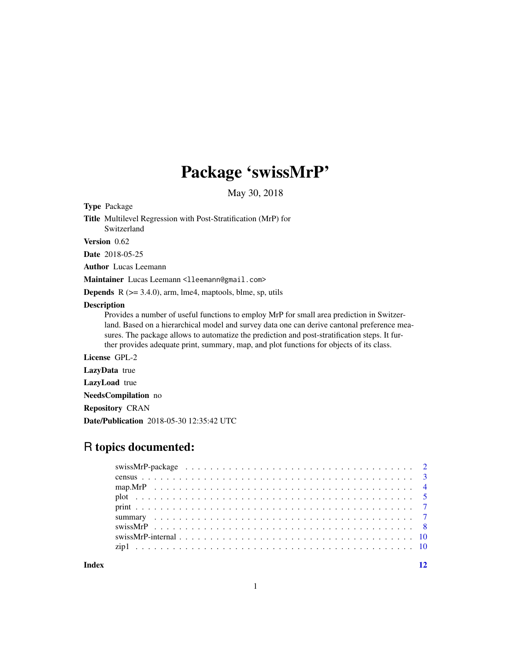# Package 'swissMrP'

May 30, 2018

Type Package

Title Multilevel Regression with Post-Stratification (MrP) for Switzerland

Version 0.62

Date 2018-05-25

Author Lucas Leemann

Maintainer Lucas Leemann <lleemann@gmail.com>

**Depends**  $R$  ( $>= 3.4.0$ ), arm, lme4, maptools, blme, sp, utils

#### Description

Provides a number of useful functions to employ MrP for small area prediction in Switzerland. Based on a hierarchical model and survey data one can derive cantonal preference measures. The package allows to automatize the prediction and post-stratification steps. It further provides adequate print, summary, map, and plot functions for objects of its class.

License GPL-2

LazyData true

LazyLoad true

NeedsCompilation no

Repository CRAN

Date/Publication 2018-05-30 12:35:42 UTC

# R topics documented:

| swissMrP-internal $\ldots$ , $\ldots$ , $\ldots$ , $\ldots$ , $\ldots$ , $\ldots$ , $\ldots$ , $\ldots$ , $\ldots$ , $\ldots$ , $\ldots$ , $\ldots$ |  |
|-----------------------------------------------------------------------------------------------------------------------------------------------------|--|
|                                                                                                                                                     |  |
|                                                                                                                                                     |  |

#### **Index** [12](#page-11-0)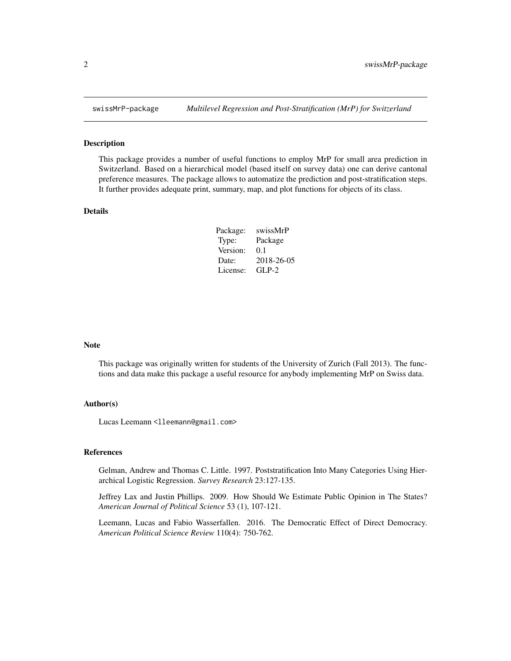<span id="page-1-0"></span>

#### Description

This package provides a number of useful functions to employ MrP for small area prediction in Switzerland. Based on a hierarchical model (based itself on survey data) one can derive cantonal preference measures. The package allows to automatize the prediction and post-stratification steps. It further provides adequate print, summary, map, and plot functions for objects of its class.

#### Details

| Package: | swissMrP   |
|----------|------------|
| Type:    | Package    |
| Version: | 0.1        |
| Date:    | 2018-26-05 |
| License: | $GLP-2$    |

#### Note

This package was originally written for students of the University of Zurich (Fall 2013). The functions and data make this package a useful resource for anybody implementing MrP on Swiss data.

#### Author(s)

Lucas Leemann <lleemann@gmail.com>

#### References

Gelman, Andrew and Thomas C. Little. 1997. Poststratification Into Many Categories Using Hierarchical Logistic Regression. *Survey Research* 23:127-135.

Jeffrey Lax and Justin Phillips. 2009. How Should We Estimate Public Opinion in The States? *American Journal of Political Science* 53 (1), 107-121.

Leemann, Lucas and Fabio Wasserfallen. 2016. The Democratic Effect of Direct Democracy. *American Political Science Review* 110(4): 750-762.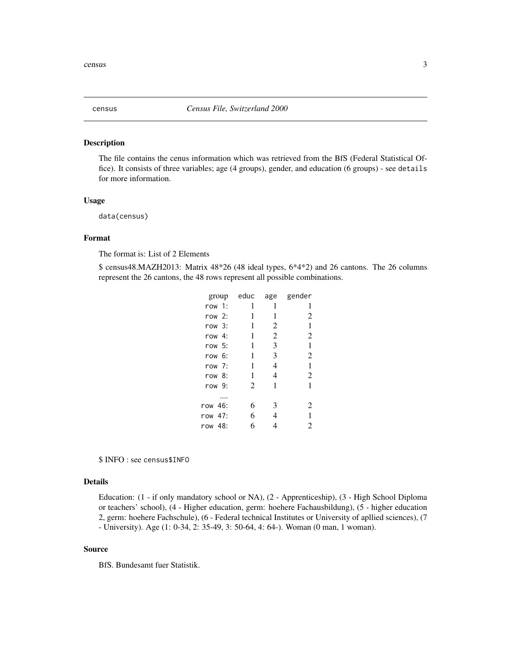<span id="page-2-0"></span>

#### Description

The file contains the cenus information which was retrieved from the BfS (Federal Statistical Office). It consists of three variables; age (4 groups), gender, and education (6 groups) - see details for more information.

#### Usage

data(census)

# Format

The format is: List of 2 Elements

\$ census48.MAZH2013: Matrix 48\*26 (48 ideal types, 6\*4\*2) and 26 cantons. The 26 columns represent the 26 cantons, the 48 rows represent all possible combinations.

| group    | educ | age            | gender         |
|----------|------|----------------|----------------|
| row 1:   | 1    | 1              | 1              |
| row $2:$ | 1    | 1              | 2              |
| row 3:   | 1    | 2              | 1              |
| row $4:$ | 1    | $\overline{c}$ | $\overline{2}$ |
| row 5:   | 1    | 3              | 1              |
| row 6:   | 1    | 3              | 2              |
| row 7:   | 1    | 4              | 1              |
| row 8:   | 1    | 4              | 2              |
| row 9:   | 2    | 1              | 1              |
|          |      |                |                |
| row 46:  | 6    | 3              | 2              |
| row 47:  | 6    | 4              | 1              |
| row 48:  | 6    | 4              | 2              |
|          |      |                |                |

\$ INFO : see census\$INFO

# Details

Education: (1 - if only mandatory school or NA), (2 - Apprenticeship), (3 - High School Diploma or teachers' school), (4 - Higher education, germ: hoehere Fachausbildung), (5 - higher education 2, germ: hoehere Fachschule), (6 - Federal technical Institutes or University of apllied sciences), (7 - University). Age (1: 0-34, 2: 35-49, 3: 50-64, 4: 64-). Woman (0 man, 1 woman).

#### Source

BfS. Bundesamt fuer Statistik.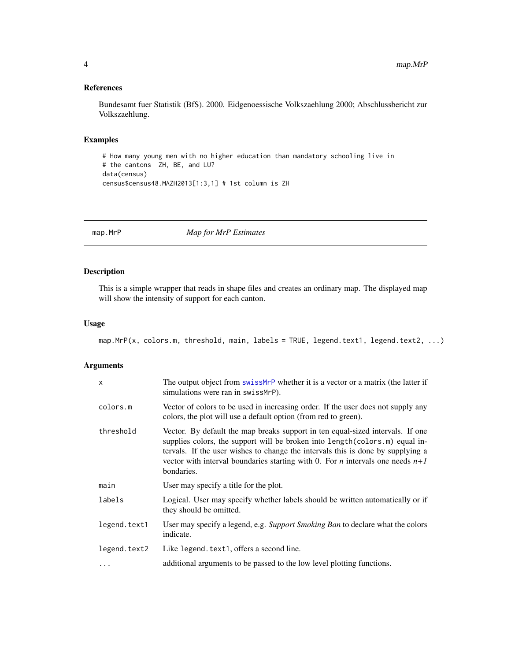# <span id="page-3-0"></span>References

Bundesamt fuer Statistik (BfS). 2000. Eidgenoessische Volkszaehlung 2000; Abschlussbericht zur Volkszaehlung.

#### Examples

```
# How many young men with no higher education than mandatory schooling live in
# the cantons ZH, BE, and LU?
data(census)
census$census48.MAZH2013[1:3,1] # 1st column is ZH
```
<span id="page-3-1"></span>

map.MrP *Map for MrP Estimates*

### Description

This is a simple wrapper that reads in shape files and creates an ordinary map. The displayed map will show the intensity of support for each canton.

### Usage

```
map.MrP(x, colors.m, threshold, main, labels = TRUE, legend.text1, legend.text2, ...)
```
#### Arguments

| $\boldsymbol{\mathsf{x}}$ | The output object from swissMrP whether it is a vector or a matrix (the latter if<br>simulations were ran in swissMrP).                                                                                                                                                                                                                                    |
|---------------------------|------------------------------------------------------------------------------------------------------------------------------------------------------------------------------------------------------------------------------------------------------------------------------------------------------------------------------------------------------------|
| colors.m                  | Vector of colors to be used in increasing order. If the user does not supply any<br>colors, the plot will use a default option (from red to green).                                                                                                                                                                                                        |
| threshold                 | Vector. By default the map breaks support in ten equal-sized intervals. If one<br>supplies colors, the support will be broken into length (colors.m) equal in-<br>tervals. If the user wishes to change the intervals this is done by supplying a<br>vector with interval boundaries starting with 0. For <i>n</i> intervals one needs $n+1$<br>bondaries. |
| main                      | User may specify a title for the plot.                                                                                                                                                                                                                                                                                                                     |
| labels                    | Logical. User may specify whether labels should be written automatically or if<br>they should be omitted.                                                                                                                                                                                                                                                  |
| legend.text1              | User may specify a legend, e.g. Support Smoking Ban to declare what the colors<br>indicate.                                                                                                                                                                                                                                                                |
| legend.text2              | Like legend. text1, offers a second line.                                                                                                                                                                                                                                                                                                                  |
| $\ddots$ .                | additional arguments to be passed to the low level plotting functions.                                                                                                                                                                                                                                                                                     |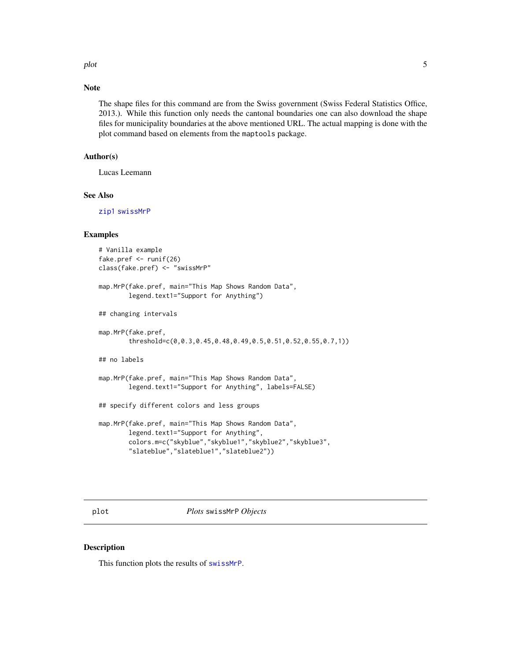<span id="page-4-0"></span>plot 5

# Note

The shape files for this command are from the Swiss government (Swiss Federal Statistics Office, 2013.). While this function only needs the cantonal boundaries one can also download the shape files for municipality boundaries at the above mentioned URL. The actual mapping is done with the plot command based on elements from the maptools package.

# Author(s)

Lucas Leemann

#### See Also

[zip1](#page-9-1) [swissMrP](#page-7-1)

# Examples

```
# Vanilla example
fake.pref <- runif(26)
class(fake.pref) <- "swissMrP"
map.MrP(fake.pref, main="This Map Shows Random Data",
        legend.text1="Support for Anything")
## changing intervals
map.MrP(fake.pref,
        threshold=c(0,0.3,0.45,0.48,0.49,0.5,0.51,0.52,0.55,0.7,1))
## no labels
map.MrP(fake.pref, main="This Map Shows Random Data",
        legend.text1="Support for Anything", labels=FALSE)
## specify different colors and less groups
map.MrP(fake.pref, main="This Map Shows Random Data",
        legend.text1="Support for Anything",
        colors.m=c("skyblue","skyblue1","skyblue2","skyblue3",
        "slateblue","slateblue1","slateblue2"))
```
plot *Plots* swissMrP *Objects*

#### Description

This function plots the results of [swissMrP](#page-7-1).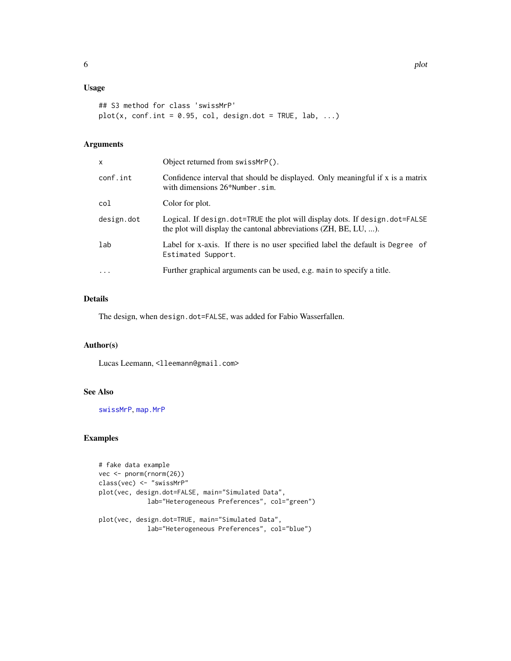# <span id="page-5-0"></span>Usage

```
## S3 method for class 'swissMrP'
plot(x, conf.int = 0.95, col, design.dot = TRUE, lab, ...)
```
# Arguments

| x          | Object returned from swissMrP().                                                                                                                |
|------------|-------------------------------------------------------------------------------------------------------------------------------------------------|
| conf.int   | Confidence interval that should be displayed. Only meaningful if x is a matrix<br>with dimensions $26*$ Number. sim.                            |
| col        | Color for plot.                                                                                                                                 |
| design.dot | Logical. If design.dot=TRUE the plot will display dots. If design.dot=FALSE<br>the plot will display the cantonal abbreviations (ZH, BE, LU, ). |
| lab        | Label for x-axis. If there is no user specified label the default is Degree of<br>Estimated Support.                                            |
| $\cdot$    | Further graphical arguments can be used, e.g. main to specify a title.                                                                          |

# Details

The design, when design.dot=FALSE, was added for Fabio Wasserfallen.

# Author(s)

Lucas Leemann, <lleemann@gmail.com>

# See Also

[swissMrP](#page-7-1), [map.MrP](#page-3-1)

#### Examples

```
# fake data example
vec <- pnorm(rnorm(26))
class(vec) <- "swissMrP"
plot(vec, design.dot=FALSE, main="Simulated Data",
            lab="Heterogeneous Preferences", col="green")
plot(vec, design.dot=TRUE, main="Simulated Data",
            lab="Heterogeneous Preferences", col="blue")
```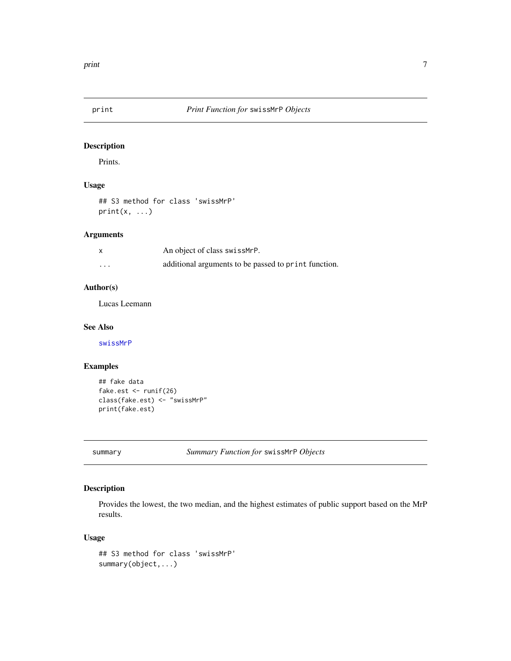<span id="page-6-0"></span>

# Description

Prints.

# Usage

## S3 method for class 'swissMrP'  $print(x, \ldots)$ 

### Arguments

|          | An object of class swissMrP.                         |
|----------|------------------------------------------------------|
| $\cdots$ | additional arguments to be passed to print function. |

# Author(s)

Lucas Leemann

# See Also

[swissMrP](#page-7-1)

# Examples

```
## fake data
fake.est <- runif(26)
class(fake.est) <- "swissMrP"
print(fake.est)
```
summary *Summary Function for* swissMrP *Objects*

# Description

Provides the lowest, the two median, and the highest estimates of public support based on the MrP results.

# Usage

## S3 method for class 'swissMrP' summary(object,...)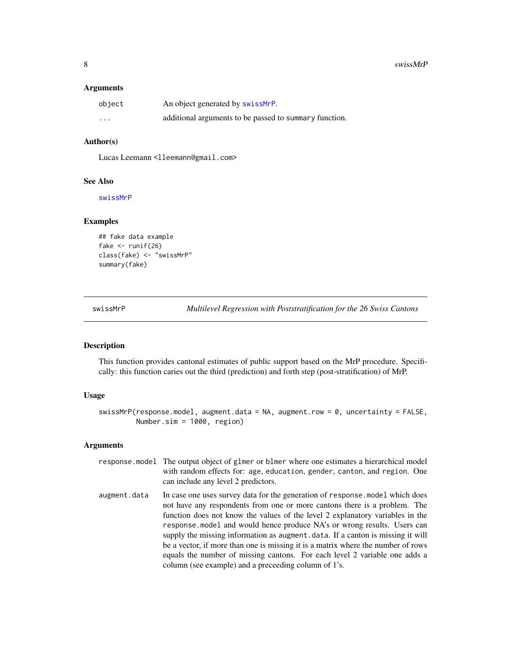### <span id="page-7-0"></span>Arguments

| object | An object generated by swissMrP.                       |
|--------|--------------------------------------------------------|
| .      | additional arguments to be passed to summary function. |

### Author(s)

Lucas Leemann <lleemann@gmail.com>

#### See Also

[swissMrP](#page-7-1)

#### Examples

```
## fake data example
fake \leftarrow runif(26)
class(fake) <- "swissMrP"
summary(fake)
```
<span id="page-7-1"></span>swissMrP *Multilevel Regression with Poststratification for the 26 Swiss Cantons*

# Description

This function provides cantonal estimates of public support based on the MrP procedure. Specifically: this function caries out the third (prediction) and forth step (post-stratification) of MrP.

### Usage

swissMrP(response.model, augment.data = NA, augment.row = 0, uncertainty = FALSE, Number.sim = 1000, region)

# Arguments

|              | response model The output object of glmer or blmer where one estimates a hierarchical model<br>with random effects for: age, education, gender, canton, and region. One<br>can include any level 2 predictors.                                                                                                                                                                                                                                                                                                                                                                                                                      |
|--------------|-------------------------------------------------------------------------------------------------------------------------------------------------------------------------------------------------------------------------------------------------------------------------------------------------------------------------------------------------------------------------------------------------------------------------------------------------------------------------------------------------------------------------------------------------------------------------------------------------------------------------------------|
| augment.data | In case one uses survey data for the generation of response, model which does<br>not have any respondents from one or more cantons there is a problem. The<br>function does not know the values of the level 2 explanatory variables in the<br>response model and would hence produce NA's or wrong results. Users can<br>supply the missing information as augment. data. If a canton is missing it will<br>be a vector, if more than one is missing it is a matrix where the number of rows<br>equals the number of missing cantons. For each level 2 variable one adds a<br>column (see example) and a preceeding column of 1's. |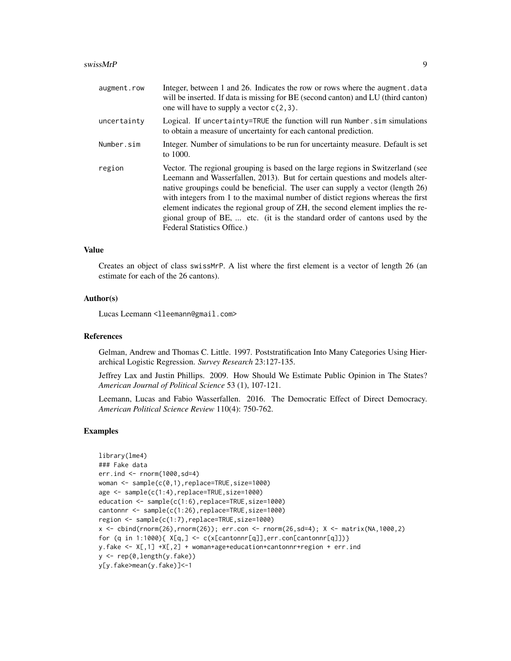#### swissMrP 9

| augment.row | Integer, between 1 and 26. Indicates the row or rows where the augment.data<br>will be inserted. If data is missing for BE (second canton) and LU (third canton)<br>one will have to supply a vector $c(2,3)$ .                                                                                                                                                                                                                                                                                                                     |
|-------------|-------------------------------------------------------------------------------------------------------------------------------------------------------------------------------------------------------------------------------------------------------------------------------------------------------------------------------------------------------------------------------------------------------------------------------------------------------------------------------------------------------------------------------------|
| uncertainty | Logical. If uncertainty=TRUE the function will run Number.sim simulations<br>to obtain a measure of uncertainty for each cantonal prediction.                                                                                                                                                                                                                                                                                                                                                                                       |
| Number.sim  | Integer. Number of simulations to be run for uncertainty measure. Default is set<br>to 1000.                                                                                                                                                                                                                                                                                                                                                                                                                                        |
| region      | Vector. The regional grouping is based on the large regions in Switzerland (see<br>Leemann and Wasserfallen, 2013). But for certain questions and models alter-<br>native groupings could be beneficial. The user can supply a vector (length 26)<br>with integers from 1 to the maximal number of distict regions whereas the first<br>element indicates the regional group of ZH, the second element implies the re-<br>gional group of BE,  etc. (it is the standard order of cantons used by the<br>Federal Statistics Office.) |

#### Value

Creates an object of class swissMrP. A list where the first element is a vector of length 26 (an estimate for each of the 26 cantons).

# Author(s)

Lucas Leemann <lleemann@gmail.com>

#### References

Gelman, Andrew and Thomas C. Little. 1997. Poststratification Into Many Categories Using Hierarchical Logistic Regression. *Survey Research* 23:127-135.

Jeffrey Lax and Justin Phillips. 2009. How Should We Estimate Public Opinion in The States? *American Journal of Political Science* 53 (1), 107-121.

Leemann, Lucas and Fabio Wasserfallen. 2016. The Democratic Effect of Direct Democracy. *American Political Science Review* 110(4): 750-762.

#### Examples

```
library(lme4)
### Fake data
err.ind <- rnorm(1000,sd=4)
woman <- sample(c(0,1),replace=TRUE,size=1000)
age <- sample(c(1:4),replace=TRUE,size=1000)
education <- sample(c(1:6),replace=TRUE,size=1000)
cantonnr <- sample(c(1:26),replace=TRUE,size=1000)
region <- sample(c(1:7),replace=TRUE,size=1000)
x <- cbind(rnorm(26),rnorm(26)); err.con <- rnorm(26,sd=4); X <- matrix(NA,1000,2)
for (q \in 1:1000) \{ X[q, ] \leftarrow c(x[cantonnr[q]], err.com[cantonnr[q]]) \}y.fake <- X[,1] +X[,2] + woman+age+education+cantonnr+region + err.ind
y <- rep(0,length(y.fake))
y[y.fake>mean(y.fake)]<-1
```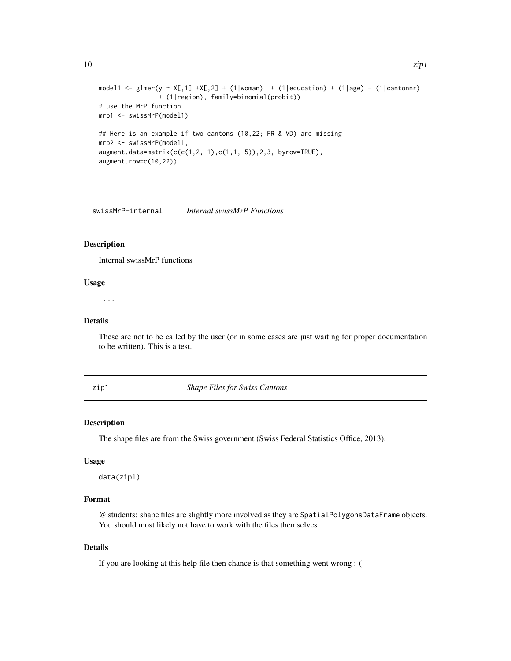```
10 zip1
```

```
model1 <- glmer(y ~ X[,1] +X[,2] + (1|woman) + (1|education) + (1|age) + (1|cantonnr)
                + (1|region), family=binomial(probit))
# use the MrP function
mrp1 <- swissMrP(model1)
## Here is an example if two cantons (10,22; FR & VD) are missing
mrp2 <- swissMrP(model1,
augment.data=matrix(c(c(1,2,-1),c(1,1,-5)),2,3, byrow=TRUE),
augment.row=c(10,22))
```
swissMrP-internal *Internal swissMrP Functions*

#### Description

Internal swissMrP functions

#### Usage

...

# Details

These are not to be called by the user (or in some cases are just waiting for proper documentation to be written). This is a test.

<span id="page-9-1"></span>zip1 *Shape Files for Swiss Cantons*

#### Description

The shape files are from the Swiss government (Swiss Federal Statistics Office, 2013).

#### Usage

data(zip1)

# Format

@ students: shape files are slightly more involved as they are SpatialPolygonsDataFrame objects. You should most likely not have to work with the files themselves.

# Details

If you are looking at this help file then chance is that something went wrong :-(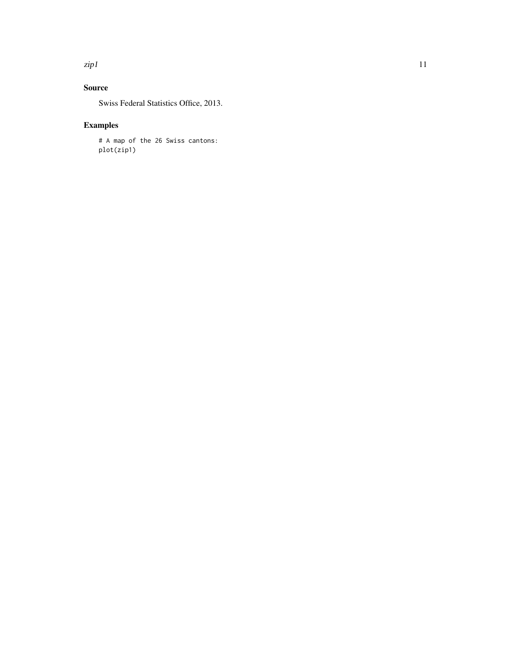#### $zip1$  11

# Source

Swiss Federal Statistics Office, 2013.

# Examples

# A map of the 26 Swiss cantons: plot(zip1)